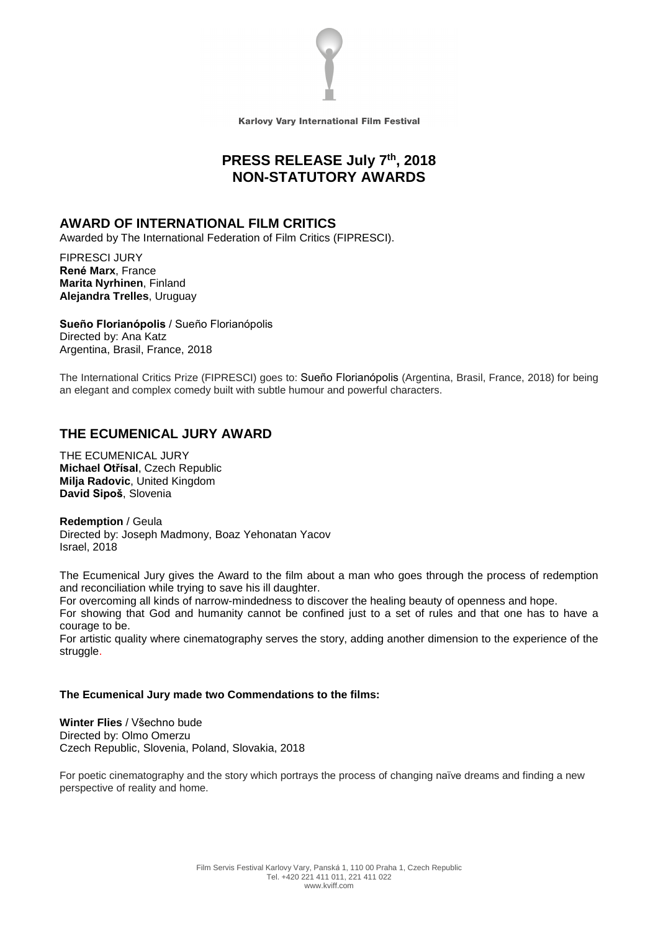

Karlovy Vary International Film Festival

# **PRESS RELEASE July 7 th , 2018 NON-STATUTORY AWARDS**

#### **AWARD OF INTERNATIONAL FILM CRITICS**

Awarded by The International Federation of Film Critics (FIPRESCI).

FIPRESCI JURY **René Marx**, France **Marita Nyrhinen**, Finland **Alejandra Trelles**, Uruguay

**Sueño Florianópolis** / Sueño Florianópolis Directed by: Ana Katz Argentina, Brasil, France, 2018

The International Critics Prize (FIPRESCI) goes to: Sueño Florianópolis (Argentina, Brasil, France, 2018) for being an elegant and complex comedy built with subtle humour and powerful characters.

## **THE ECUMENICAL JURY AWARD**

THE ECUMENICAL JURY **Michael Otřísal**, Czech Republic **Milja Radovic**, United Kingdom **David Sipoš**, Slovenia

**Redemption** / Geula Directed by: Joseph Madmony, Boaz Yehonatan Yacov Israel, 2018

The Ecumenical Jury gives the Award to the film about a man who goes through the process of redemption and reconciliation while trying to save his ill daughter.

For overcoming all kinds of narrow-mindedness to discover the healing beauty of openness and hope.

For showing that God and humanity cannot be confined just to a set of rules and that one has to have a courage to be.

For artistic quality where cinematography serves the story, adding another dimension to the experience of the struggle.

#### **The Ecumenical Jury made two Commendations to the films:**

**Winter Flies** / Všechno bude Directed by: Olmo Omerzu Czech Republic, Slovenia, Poland, Slovakia, 2018

For poetic cinematography and the story which portrays the process of changing naïve dreams and finding a new perspective of reality and home.